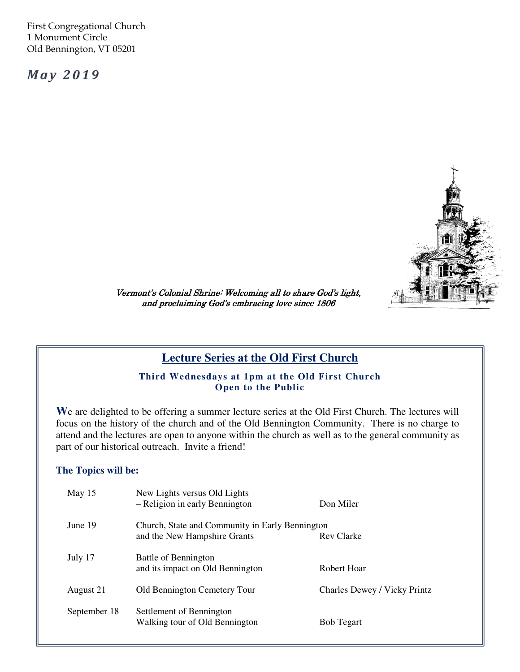First Congregational Church 1 Monument Circle Old Bennington, VT 05201

**May 2019** 



Vermont's Colonial Shrine: Welcoming all to share God's light, and proclaiming God's embracing love since 1806

# **Lecture Series at the Old First Church**

**Third Wednesdays at 1pm at the Old First Church Open to the Public** 

**W**e are delighted to be offering a summer lecture series at the Old First Church. The lectures will focus on the history of the church and of the Old Bennington Community. There is no charge to attend and the lectures are open to anyone within the church as well as to the general community as part of our historical outreach. Invite a friend!

#### **The Topics will be:**

| May $15$     | New Lights versus Old Lights<br>- Religion in early Bennington                  | Don Miler                    |
|--------------|---------------------------------------------------------------------------------|------------------------------|
| June 19      | Church, State and Community in Early Bennington<br>and the New Hampshire Grants | <b>Rev Clarke</b>            |
| July 17      | Battle of Bennington<br>and its impact on Old Bennington                        | Robert Hoar                  |
| August 21    | Old Bennington Cemetery Tour                                                    | Charles Dewey / Vicky Printz |
| September 18 | Settlement of Bennington<br>Walking tour of Old Bennington                      | <b>Bob Tegart</b>            |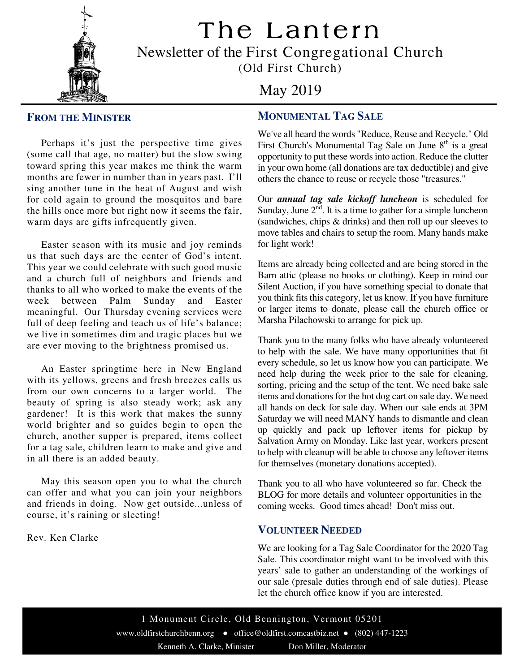

The Lantern Newsletter of the First Congregational Church

(Old First Church)

# May 2019

## **FROM THE MINISTER**

 Perhaps it's just the perspective time gives (some call that age, no matter) but the slow swing toward spring this year makes me think the warm months are fewer in number than in years past. I'll sing another tune in the heat of August and wish for cold again to ground the mosquitos and bare the hills once more but right now it seems the fair, warm days are gifts infrequently given.

 Easter season with its music and joy reminds us that such days are the center of God's intent. This year we could celebrate with such good music and a church full of neighbors and friends and thanks to all who worked to make the events of the week between Palm Sunday and Easter meaningful. Our Thursday evening services were full of deep feeling and teach us of life's balance; we live in sometimes dim and tragic places but we are ever moving to the brightness promised us.

 An Easter springtime here in New England with its yellows, greens and fresh breezes calls us from our own concerns to a larger world. The beauty of spring is also steady work; ask any gardener! It is this work that makes the sunny world brighter and so guides begin to open the church, another supper is prepared, items collect for a tag sale, children learn to make and give and in all there is an added beauty.

 May this season open you to what the church can offer and what you can join your neighbors and friends in doing. Now get outside...unless of course, it's raining or sleeting!

Rev. Ken Clarke

## **MONUMENTAL TAG SALE**

We've all heard the words "Reduce, Reuse and Recycle." Old First Church's Monumental Tag Sale on June 8<sup>th</sup> is a great opportunity to put these words into action. Reduce the clutter in your own home (all donations are tax deductible) and give others the chance to reuse or recycle those "treasures."

Our *annual tag sale kickoff luncheon* is scheduled for Sunday, June  $2<sup>nd</sup>$ . It is a time to gather for a simple luncheon (sandwiches, chips & drinks) and then roll up our sleeves to move tables and chairs to setup the room. Many hands make for light work!

Items are already being collected and are being stored in the Barn attic (please no books or clothing). Keep in mind our Silent Auction, if you have something special to donate that you think fits this category, let us know. If you have furniture or larger items to donate, please call the church office or Marsha Pilachowski to arrange for pick up.

Thank you to the many folks who have already volunteered to help with the sale. We have many opportunities that fit every schedule, so let us know how you can participate. We need help during the week prior to the sale for cleaning, sorting, pricing and the setup of the tent. We need bake sale items and donations for the hot dog cart on sale day. We need all hands on deck for sale day. When our sale ends at 3PM Saturday we will need MANY hands to dismantle and clean up quickly and pack up leftover items for pickup by Salvation Army on Monday. Like last year, workers present to help with cleanup will be able to choose any leftover items for themselves (monetary donations accepted).

Thank you to all who have volunteered so far. Check the BLOG for more details and volunteer opportunities in the coming weeks. Good times ahead! Don't miss out.

#### **VOLUNTEER NEEDED**

We are looking for a Tag Sale Coordinator for the 2020 Tag Sale. This coordinator might want to be involved with this years' sale to gather an understanding of the workings of our sale (presale duties through end of sale duties). Please let the church office know if you are interested.

1 Monument Circle, Old Bennington, Vermont 05201 www.oldfirstchurchbenn.org ● office@oldfirst.comcastbiz.net ● (802) 447-1223

Kenneth A. Clarke, Minister Don Miller, Moderator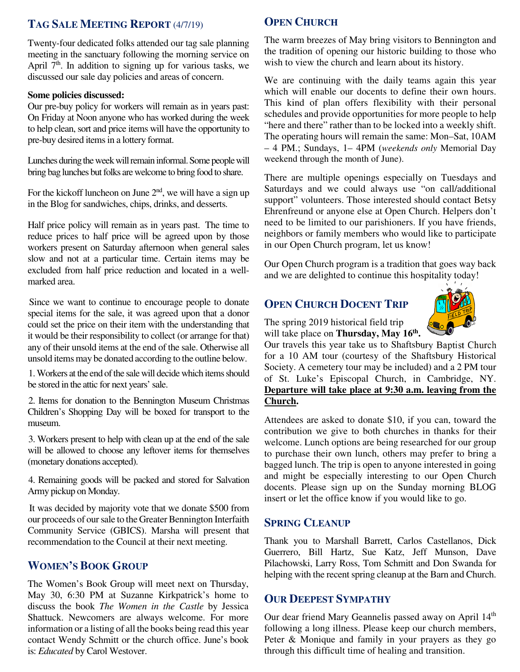## **TAG SALE MEETING REPORT** (4/7/19)

meeting in the sanctuary following the morning service on Twenty-four dedicated folks attended our tag sale planning April  $7<sup>th</sup>$ . In addition to signing up for various tasks, we discussed our sale day policies and areas of concern.

#### **Some policies discussed:**

Our pre-buy policy for workers will remain as in years past: On Friday at Noon anyone who has worked during the week to help clean, sort and price items will have the opportunity to pre-buy desired items in a lottery format.

Lunches during the week will remain informal. Some people will bring bag lunches but folks are welcome to bring food to share.

For the kickoff luncheon on June  $2<sup>nd</sup>$ , we will have a sign up in the Blog for sandwiches, chips, drinks, and desserts.

Half price policy will remain as in years past. The time to reduce prices to half price will be agreed upon by those workers present on Saturday afternoon when general sales slow and not at a particular time. Certain items may be excluded from half price reduction and located in a wellmarked area.

Since we want to continue to encourage people to donate special items for the sale, it was agreed upon that a donor could set the price on their item with the understanding that it would be their responsibility to collect (or arrange for that) any of their unsold items at the end of the sale. Otherwise all unsold items may be donated according to the outline below.

1. Workers at the end of the sale will decide which items should be stored in the attic for next years' sale.

 Children's Shopping Day will be boxed for transport to the 2. Items for donation to the Bennington Museum Christmas museum.

3. Workers present to help with clean up at the end of the sale will be allowed to choose any leftover items for themselves (monetary donations accepted).

4. Remaining goods will be packed and stored for Salvation Army pickup on Monday.

It was decided by majority vote that we donate \$500 from our proceeds of our sale to the Greater Bennington Interfaith Community Service (GBICS). Marsha will present that recommendation to the Council at their next meeting.

### **WOMEN'S BOOK GROUP**

The Women's Book Group will meet next on Thursday, May 30, 6:30 PM at Suzanne Kirkpatrick's home to discuss the book *The Women in the Castle* by Jessica Shattuck. Newcomers are always welcome. For more information or a listing of all the books being read this year contact Wendy Schmitt or the church office. June's book is: *Educated* by Carol Westover.

### **OPEN CHURCH**

The warm breezes of May bring visitors to Bennington and the tradition of opening our historic building to those who wish to view the church and learn about its history.

We are continuing with the daily teams again this year which will enable our docents to define their own hours. This kind of plan offers flexibility with their personal schedules and provide opportunities for more people to help "here and there" rather than to be locked into a weekly shift. The operating hours will remain the same: Mon–Sat, 10AM – 4 PM.; Sundays, 1– 4PM (*weekends only* Memorial Day weekend through the month of June).

There are multiple openings especially on Tuesdays and Saturdays and we could always use "on call/additional support" volunteers. Those interested should contact Betsy Ehrenfreund or anyone else at Open Church. Helpers don't need to be limited to our parishioners. If you have friends, neighbors or family members who would like to participate in our Open Church program, let us know!

Our Open Church program is a tradition that goes way back and we are delighted to continue this hospitality today!

## **OPEN CHURCH DOCENT TRIP**



The spring 2019 historical field trip will take place on **Thursday, May 16th .** 

Our travels this year take us to Shaftsbury Baptist Church for a 10 AM tour (courtesy of the Shaftsbury Historical Society. A cemetery tour may be included) and a 2 PM tour of St. Luke's Episcopal Church, in Cambridge, NY. **Departure will take place at 9:30 a.m. leaving from the Church.** 

contribution we give to both churches in thanks for their Attendees are asked to donate \$10, if you can, toward the welcome. Lunch options are being researched for our group to purchase their own lunch, others may prefer to bring a bagged lunch. The trip is open to anyone interested in going and might be especially interesting to our Open Church docents. Please sign up on the Sunday morning BLOG insert or let the office know if you would like to go.

#### **SPRING CLEANUP**

Thank you to Marshall Barrett, Carlos Castellanos, Dick Guerrero, Bill Hartz, Sue Katz, Jeff Munson, Dave Pilachowski, Larry Ross, Tom Schmitt and Don Swanda for helping with the recent spring cleanup at the Barn and Church.

## **OUR DEEPEST SYMPATHY**

Our dear friend Mary Geannelis passed away on April 14<sup>th</sup> following a long illness. Please keep our church members, Peter & Monique and family in your prayers as they go through this difficult time of healing and transition.